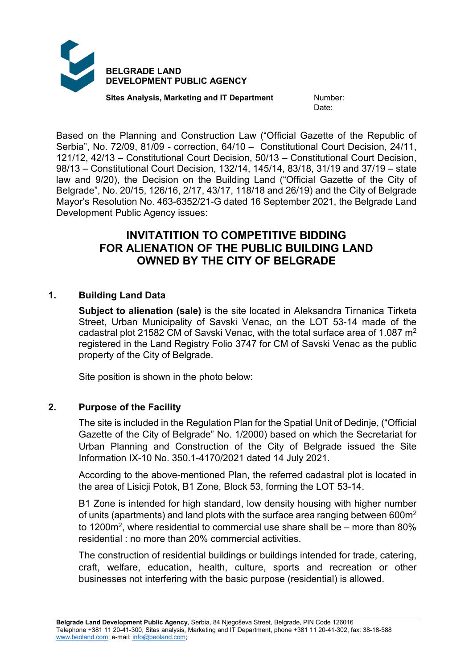

**Sites Analysis, Marketing and IT Department Mumber:** 

Date:

Based on the Planning and Construction Law ("Official Gazette of the Republic of Serbia", No. 72/09, 81/09 - correction, 64/10 – Constitutional Court Decision, 24/11, 121/12, 42/13 – Constitutional Court Decision, 50/13 – Constitutional Court Decision, 98/13 – Constitutional Court Decision, 132/14, 145/14, 83/18, 31/19 and 37/19 – state law and 9/20), the Decision on the Building Land ("Official Gazette of the City of Belgrade", No. 20/15, 126/16, 2/17, 43/17, 118/18 and 26/19) and the City of Belgrade Mayor's Resolution No. 463-6352/21-G dated 16 September 2021, the Belgrade Land Development Public Agency issues:

# **INVITATITION TO COMPETITIVE BIDDING FOR ALIENATION OF THE PUBLIC BUILDING LAND OWNED BY THE CITY OF BELGRADE**

# **1. Building Land Data**

**Subject to alienation (sale)** is the site located in Aleksandra Tirnanica Tirketa Street, Urban Municipality of Savski Venac, on the LOT 53-14 made of the cadastral plot 21582 CM of Savski Venac, with the total surface area of 1.087  $m<sup>2</sup>$ registered in the Land Registry Folio 3747 for CM of Savski Venac as the public property of the City of Belgrade.

Site position is shown in the photo below:

### **2. Purpose of the Facility**

The site is included in the Regulation Plan for the Spatial Unit of Dedinje, ("Official Gazette of the City of Belgrade" No. 1/2000) based on which the Secretariat for Urban Planning and Construction of the City of Belgrade issued the Site Information IX-10 No. 350.1-4170/2021 dated 14 July 2021.

According to the above-mentioned Plan, the referred cadastral plot is located in the area of Lisicji Potok, B1 Zone, Block 53, forming the LOT 53-14.

B1 Zone is intended for high standard, low density housing with higher number of units (apartments) and land plots with the surface area ranging between  $600m^2$ to 1200 $\text{m}^2$ , where residential to commercial use share shall be – more than 80% residential : no more than 20% commercial activities.

The construction of residential buildings or buildings intended for trade, catering, craft, welfare, education, health, culture, sports and recreation or other businesses not interfering with the basic purpose (residential) is allowed.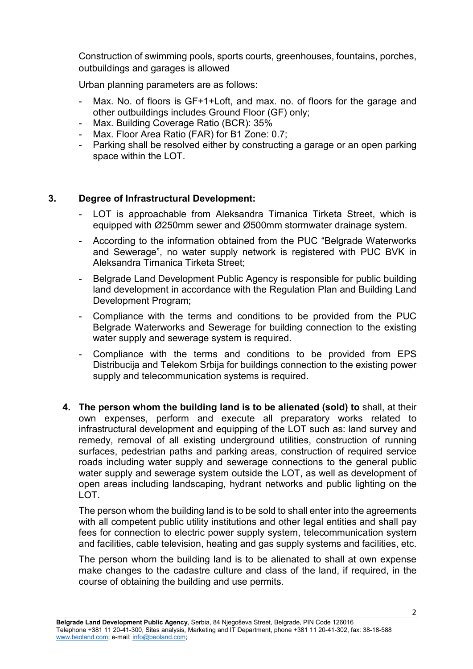Construction of swimming pools, sports courts, greenhouses, fountains, porches, outbuildings and garages is allowed

Urban planning parameters are as follows:

- Max. No. of floors is GF+1+Loft, and max. no. of floors for the garage and other outbuildings includes Ground Floor (GF) only;
- Max. Building Coverage Ratio (BCR): 35%
- Max. Floor Area Ratio (FAR) for B1 Zone: 0.7;
- Parking shall be resolved either by constructing a garage or an open parking space within the LOT.

#### **3. Degree of Infrastructural Development:**

- LOT is approachable from Aleksandra Tirnanica Tirketa Street, which is equipped with Ø250mm sewer and Ø500mm stormwater drainage system.
- According to the information obtained from the PUC "Belgrade Waterworks and Sewerage", no water supply network is registered with PUC BVK in Aleksandra Tirnanica Tirketa Street;
- Belgrade Land Development Public Agency is responsible for public building land development in accordance with the Regulation Plan and Building Land Development Program;
- Compliance with the terms and conditions to be provided from the PUC Belgrade Waterworks and Sewerage for building connection to the existing water supply and sewerage system is required.
- Compliance with the terms and conditions to be provided from EPS Distribucija and Telekom Srbija for buildings connection to the existing power supply and telecommunication systems is required.
- **4. The person whom the building land is to be alienated (sold) to** shall, at their own expenses, perform and execute all preparatory works related to infrastructural development and equipping of the LOT such as: land survey and remedy, removal of all existing underground utilities, construction of running surfaces, pedestrian paths and parking areas, construction of required service roads including water supply and sewerage connections to the general public water supply and sewerage system outside the LOT, as well as development of open areas including landscaping, hydrant networks and public lighting on the LOT.

The person whom the building land is to be sold to shall enter into the agreements with all competent public utility institutions and other legal entities and shall pay fees for connection to electric power supply system, telecommunication system and facilities, cable television, heating and gas supply systems and facilities, etc.

The person whom the building land is to be alienated to shall at own expense make changes to the cadastre culture and class of the land, if required, in the course of obtaining the building and use permits.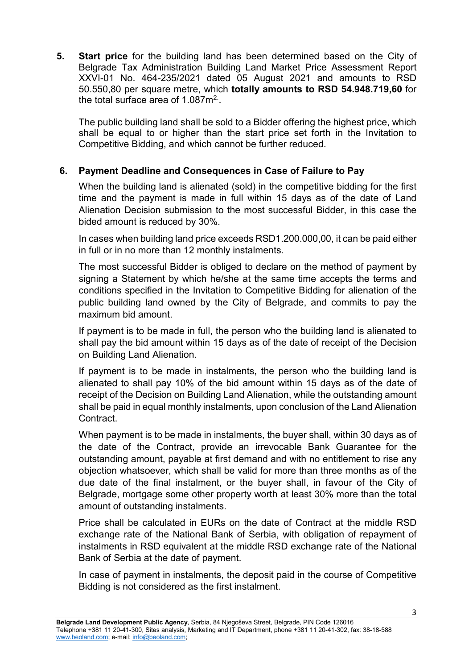**5. Start price** for the building land has been determined based on the City of Belgrade Tax Administration Building Land Market Price Assessment Report XXVI-01 No. 464-235/2021 dated 05 August 2021 and amounts to RSD 50.550,80 per square metre, which **totally amounts to RSD 54.948.719,60** for the total surface area of 1.087 $\mathsf{m}^2$  .

The public building land shall be sold to a Bidder offering the highest price, which shall be equal to or higher than the start price set forth in the Invitation to Competitive Bidding, and which cannot be further reduced.

# **6. Payment Deadline and Consequences in Case of Failure to Pay**

When the building land is alienated (sold) in the competitive bidding for the first time and the payment is made in full within 15 days as of the date of Land Alienation Decision submission to the most successful Bidder, in this case the bided amount is reduced by 30%.

In cases when building land price exceeds RSD1.200.000,00, it can be paid either in full or in no more than 12 monthly instalments.

The most successful Bidder is obliged to declare on the method of payment by signing a Statement by which he/she at the same time accepts the terms and conditions specified in the Invitation to Competitive Bidding for alienation of the public building land owned by the City of Belgrade, and commits to pay the maximum bid amount.

If payment is to be made in full, the person who the building land is alienated to shall pay the bid amount within 15 days as of the date of receipt of the Decision on Building Land Alienation.

If payment is to be made in instalments, the person who the building land is alienated to shall pay 10% of the bid amount within 15 days as of the date of receipt of the Decision on Building Land Alienation, while the outstanding amount shall be paid in equal monthly instalments, upon conclusion of the Land Alienation Contract.

When payment is to be made in instalments, the buyer shall, within 30 days as of the date of the Contract, provide an irrevocable Bank Guarantee for the outstanding amount, payable at first demand and with no entitlement to rise any objection whatsoever, which shall be valid for more than three months as of the due date of the final instalment, or the buyer shall, in favour of the City of Belgrade, mortgage some other property worth at least 30% more than the total amount of outstanding instalments.

Price shall be calculated in EURs on the date of Contract at the middle RSD exchange rate of the National Bank of Serbia, with obligation of repayment of instalments in RSD equivalent at the middle RSD exchange rate of the National Bank of Serbia at the date of payment.

In case of payment in instalments, the deposit paid in the course of Competitive Bidding is not considered as the first instalment.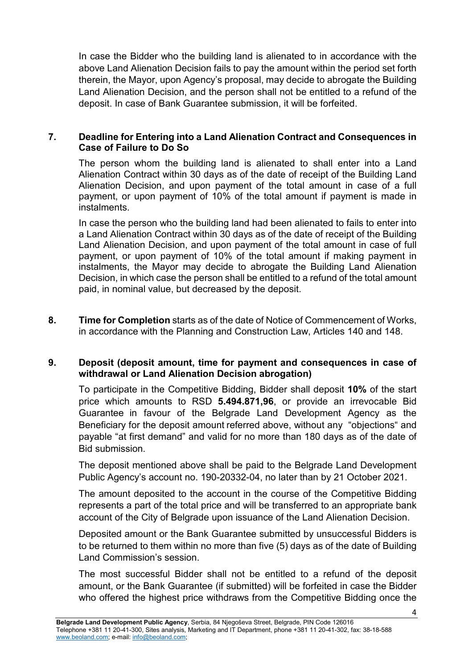In case the Bidder who the building land is alienated to in accordance with the above Land Alienation Decision fails to pay the amount within the period set forth therein, the Mayor, upon Agency's proposal, may decide to abrogate the Building Land Alienation Decision, and the person shall not be entitled to a refund of the deposit. In case of Bank Guarantee submission, it will be forfeited.

#### **7. Deadline for Entering into a Land Alienation Contract and Consequences in Case of Failure to Do So**

The person whom the building land is alienated to shall enter into a Land Alienation Contract within 30 days as of the date of receipt of the Building Land Alienation Decision, and upon payment of the total amount in case of a full payment, or upon payment of 10% of the total amount if payment is made in instalments.

In case the person who the building land had been alienated to fails to enter into a Land Alienation Contract within 30 days as of the date of receipt of the Building Land Alienation Decision, and upon payment of the total amount in case of full payment, or upon payment of 10% of the total amount if making payment in instalments, the Mayor may decide to abrogate the Building Land Alienation Decision, in which case the person shall be entitled to a refund of the total amount paid, in nominal value, but decreased by the deposit.

**8. Time for Completion** starts as of the date of Notice of Commencement of Works, in accordance with the Planning and Construction Law, Articles 140 and 148.

#### **9. Deposit (deposit amount, time for payment and consequences in case of withdrawal or Land Alienation Decision abrogation)**

To participate in the Competitive Bidding, Bidder shall deposit **10%** of the start price which amounts to RSD **5.494.871,96**, or provide an irrevocable Bid Guarantee in favour of the Belgrade Land Development Agency as the Beneficiary for the deposit amount referred above, without any "objections" and payable "at first demand" and valid for no more than 180 days as of the date of Bid submission.

The deposit mentioned above shall be paid to the Belgrade Land Development Public Agency's account no. 190-20332-04, no later than by 21 October 2021.

The amount deposited to the account in the course of the Competitive Bidding represents a part of the total price and will be transferred to an appropriate bank account of the City of Belgrade upon issuance of the Land Alienation Decision.

Deposited amount or the Bank Guarantee submitted by unsuccessful Bidders is to be returned to them within no more than five (5) days as of the date of Building Land Commission's session.

The most successful Bidder shall not be entitled to a refund of the deposit amount, or the Bank Guarantee (if submitted) will be forfeited in case the Bidder who offered the highest price withdraws from the Competitive Bidding once the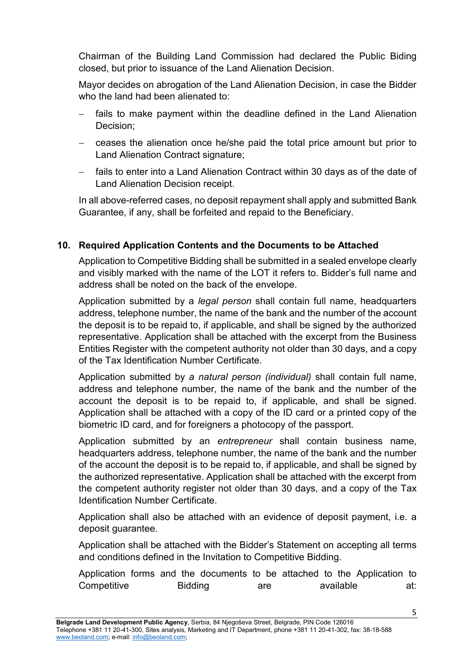Chairman of the Building Land Commission had declared the Public Biding closed, but prior to issuance of the Land Alienation Decision.

Mayor decides on abrogation of the Land Alienation Decision, in case the Bidder who the land had been alienated to:

- fails to make payment within the deadline defined in the Land Alienation Decision;
- − ceases the alienation once he/she paid the total price amount but prior to Land Alienation Contract signature;
- fails to enter into a Land Alienation Contract within 30 days as of the date of Land Alienation Decision receipt.

In all above-referred cases, no deposit repayment shall apply and submitted Bank Guarantee, if any, shall be forfeited and repaid to the Beneficiary.

# **10. Required Application Contents and the Documents to be Attached**

Application to Competitive Bidding shall be submitted in a sealed envelope clearly and visibly marked with the name of the LOT it refers to. Bidder's full name and address shall be noted on the back of the envelope.

Application submitted by a *legal person* shall contain full name, headquarters address, telephone number, the name of the bank and the number of the account the deposit is to be repaid to, if applicable, and shall be signed by the authorized representative. Application shall be attached with the excerpt from the Business Entities Register with the competent authority not older than 30 days, and a copy of the Tax Identification Number Certificate.

Application submitted by *a natural person (individual)* shall contain full name, address and telephone number, the name of the bank and the number of the account the deposit is to be repaid to, if applicable, and shall be signed. Application shall be attached with a copy of the ID card or a printed copy of the biometric ID card, and for foreigners a photocopy of the passport.

Application submitted by an *entrepreneur* shall contain business name, headquarters address, telephone number, the name of the bank and the number of the account the deposit is to be repaid to, if applicable, and shall be signed by the authorized representative. Application shall be attached with the excerpt from the competent authority register not older than 30 days, and a copy of the Tax Identification Number Certificate.

Application shall also be attached with an evidence of deposit payment, i.e. a deposit guarantee.

Application shall be attached with the Bidder's Statement on accepting all terms and conditions defined in the Invitation to Competitive Bidding.

Application forms and the documents to be attached to the Application to Competitive Bidding are available at: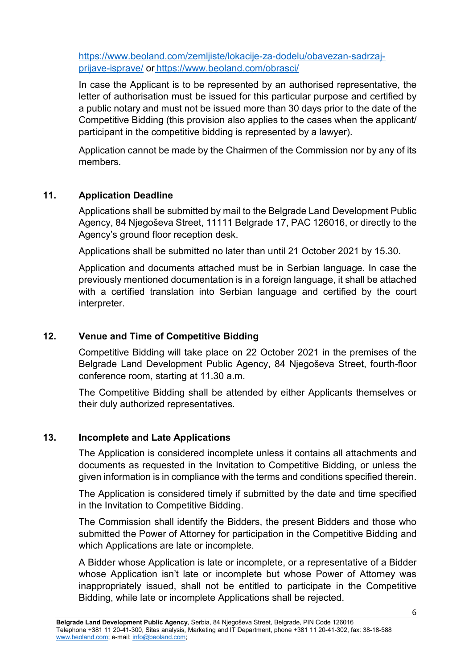[https://www.beoland.com/zemljiste/lokacije-za-dodelu/obavezan-sadrzaj](https://www.beoland.com/zemljiste/lokacije-za-dodelu/obavezan-sadrzaj-prijave-isprave/)[prijave-isprave/](https://www.beoland.com/zemljiste/lokacije-za-dodelu/obavezan-sadrzaj-prijave-isprave/) or <https://www.beoland.com/obrasci/>

In case the Applicant is to be represented by an authorised representative, the letter of authorisation must be issued for this particular purpose and certified by a public notary and must not be issued more than 30 days prior to the date of the Competitive Bidding (this provision also applies to the cases when the applicant/ participant in the competitive bidding is represented by a lawyer).

Application cannot be made by the Chairmen of the Commission nor by any of its members.

# **11. Application Deadline**

Applications shall be submitted by mail to the Belgrade Land Development Public Agency, 84 Njegoševa Street, 11111 Belgrade 17, PAC 126016, or directly to the Agency's ground floor reception desk.

Applications shall be submitted no later than until 21 October 2021 by 15.30.

Application and documents attached must be in Serbian language. In case the previously mentioned documentation is in a foreign language, it shall be attached with a certified translation into Serbian language and certified by the court interpreter.

### **12. Venue and Time of Competitive Bidding**

Competitive Bidding will take place on 22 October 2021 in the premises of the Belgrade Land Development Public Agency, 84 Njegoševa Street, fourth-floor conference room, starting at 11.30 a.m.

The Competitive Bidding shall be attended by either Applicants themselves or their duly authorized representatives.

### **13. Incomplete and Late Applications**

The Application is considered incomplete unless it contains all attachments and documents as requested in the Invitation to Competitive Bidding, or unless the given information is in compliance with the terms and conditions specified therein.

The Application is considered timely if submitted by the date and time specified in the Invitation to Competitive Bidding.

The Commission shall identify the Bidders, the present Bidders and those who submitted the Power of Attorney for participation in the Competitive Bidding and which Applications are late or incomplete.

A Bidder whose Application is late or incomplete, or a representative of a Bidder whose Application isn't late or incomplete but whose Power of Attorney was inappropriately issued, shall not be entitled to participate in the Competitive Bidding, while late or incomplete Applications shall be rejected.